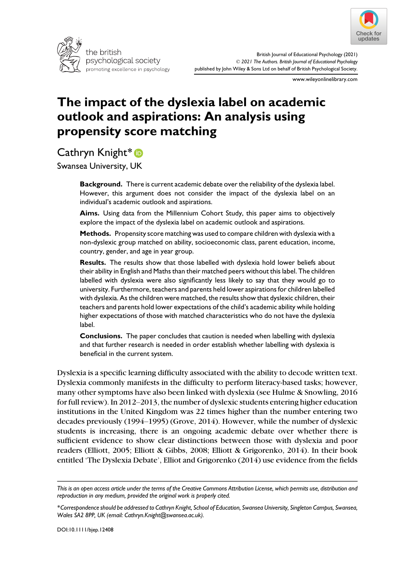



www.wileyonlinelibrary.com

# The impact of the dyslexia label on academic outlook and aspirations: An analysis using propensity score matching

Cathryn Knight\*<sup>®</sup>

Swansea University, UK

**Background.** There is current academic debate over the reliability of the dyslexia label. However, this argument does not consider the impact of the dyslexia label on an individual's academic outlook and aspirations.

Aims. Using data from the Millennium Cohort Study, this paper aims to objectively explore the impact of the dyslexia label on academic outlook and aspirations.

Methods. Propensity score matching was used to compare children with dyslexia with a non-dyslexic group matched on ability, socioeconomic class, parent education, income, country, gender, and age in year group.

Results. The results show that those labelled with dyslexia hold lower beliefs about their ability in English and Maths than their matched peers without this label. The children labelled with dyslexia were also significantly less likely to say that they would go to university. Furthermore, teachers and parents held lower aspirations for children labelled with dyslexia. As the children were matched, the results show that dyslexic children, their teachers and parents hold lower expectations of the child's academic ability while holding higher expectations of those with matched characteristics who do not have the dyslexia label.

Conclusions. The paper concludes that caution is needed when labelling with dyslexia and that further research is needed in order establish whether labelling with dyslexia is beneficial in the current system.

Dyslexia is a specific learning difficulty associated with the ability to decode written text. Dyslexia commonly manifests in the difficulty to perform literacy-based tasks; however, many other symptoms have also been linked with dyslexia (see Hulme & Snowling, 2016 for full review). In 2012–2013, the number of dyslexic students entering higher education institutions in the United Kingdom was 22 times higher than the number entering two decades previously (1994–1995) (Grove, 2014). However, while the number of dyslexic students is increasing, there is an ongoing academic debate over whether there is sufficient evidence to show clear distinctions between those with dyslexia and poor readers (Elliott, 2005; Elliott & Gibbs, 2008; Elliott & Grigorenko, 2014). In their book entitled 'The Dyslexia Debate', Elliot and Grigorenko (2014) use evidence from the fields

This is an open access article under the terms of the [Creative Commons Attribution](http://creativecommons.org/licenses/by/4.0/) License, which permits use, distribution and reproduction in any medium, provided the original work is properly cited.

<sup>\*</sup>Correspondence should be addressed to Cathryn Knight, School of Education, Swansea University, Singleton Campus, Swansea, Wales SA2 8PP, UK (email: [Cathryn.Knight@swansea.ac.uk\)](mailto:).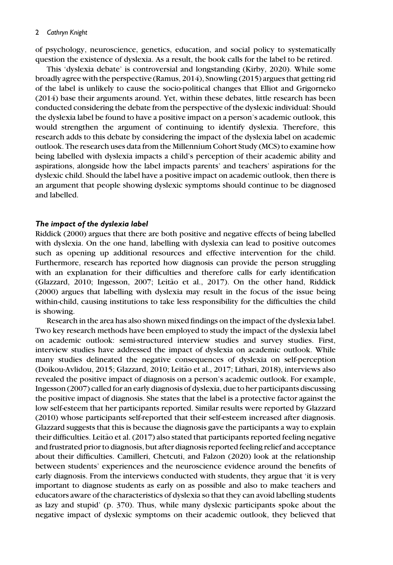of psychology, neuroscience, genetics, education, and social policy to systematically question the existence of dyslexia. As a result, the book calls for the label to be retired.

This 'dyslexia debate' is controversial and longstanding (Kirby, 2020). While some broadly agree with the perspective (Ramus, 2014), Snowling (2015) argues that getting rid of the label is unlikely to cause the socio-political changes that Elliot and Grigorneko (2014) base their arguments around. Yet, within these debates, little research has been conducted considering the debate from the perspective of the dyslexic individual: Should the dyslexia label be found to have a positive impact on a person's academic outlook, this would strengthen the argument of continuing to identify dyslexia. Therefore, this research adds to this debate by considering the impact of the dyslexia label on academic outlook. The research uses data from the Millennium Cohort Study (MCS) to examine how being labelled with dyslexia impacts a child's perception of their academic ability and aspirations, alongside how the label impacts parents' and teachers' aspirations for the dyslexic child. Should the label have a positive impact on academic outlook, then there is an argument that people showing dyslexic symptoms should continue to be diagnosed and labelled.

#### The impact of the dyslexia label

Riddick (2000) argues that there are both positive and negative effects of being labelled with dyslexia. On the one hand, labelling with dyslexia can lead to positive outcomes such as opening up additional resources and effective intervention for the child. Furthermore, research has reported how diagnosis can provide the person struggling with an explanation for their difficulties and therefore calls for early identification (Glazzard, 2010; Ingesson, 2007; Leitão et al., 2017). On the other hand, Riddick (2000) argues that labelling with dyslexia may result in the focus of the issue being within-child, causing institutions to take less responsibility for the difficulties the child is showing.

Research in the area has also shown mixed findings on the impact of the dyslexia label. Two key research methods have been employed to study the impact of the dyslexia label on academic outlook: semi-structured interview studies and survey studies. First, interview studies have addressed the impact of dyslexia on academic outlook. While many studies delineated the negative consequences of dyslexia on self-perception (Doikou-Avlidou, 2015; Glazzard, 2010; Leitão et al., 2017; Lithari, 2018), interviews also revealed the positive impact of diagnosis on a person's academic outlook. For example, Ingesson (2007) called for an early diagnosis of dyslexia, due to her participants discussing the positive impact of diagnosis. She states that the label is a protective factor against the low self-esteem that her participants reported. Similar results were reported by Glazzard (2010) whose participants self-reported that their self-esteem increased after diagnosis. Glazzard suggests that this is because the diagnosis gave the participants a way to explain their difficulties. Leitão et al. (2017) also stated that participants reported feeling negative and frustrated prior to diagnosis, but after diagnosis reported feeling relief and acceptance about their difficulties. Camilleri, Chetcuti, and Falzon (2020) look at the relationship between students' experiences and the neuroscience evidence around the benefits of early diagnosis. From the interviews conducted with students, they argue that 'it is very important to diagnose students as early on as possible and also to make teachers and educators aware of the characteristics of dyslexia so that they can avoid labelling students as lazy and stupid' (p. 370). Thus, while many dyslexic participants spoke about the negative impact of dyslexic symptoms on their academic outlook, they believed that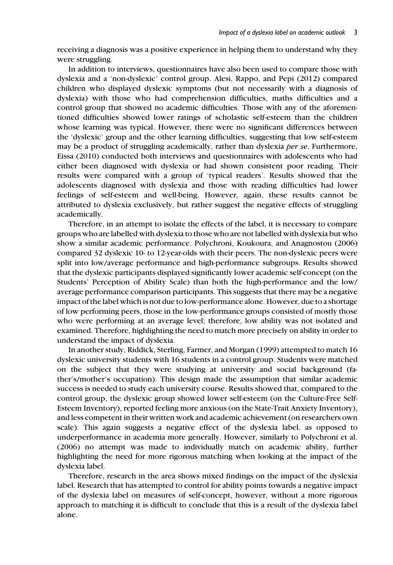receiving a diagnosis was a positive experience in helping them to understand why they were struggling.

In addition to interviews, questionnaires have also been used to compare those with dyslexia and a 'non-dyslexic' control group. Alesi, Rappo, and Pepi (2012) compared children who displayed dyslexic symptoms (but not necessarily with a diagnosis of dyslexia) with those who had comprehension difficulties, maths difficulties and a control group that showed no academic difficulties. Those with any of the aforementioned difficulties showed lower ratings of scholastic self-esteem than the children whose learning was typical. However, there were no significant differences between the 'dyslexic' group and the other learning difficulties, suggesting that low self-esteem may be a product of struggling academically, rather than dyslexia *per se*. Furthermore, Eissa (2010) conducted both interviews and questionnaires with adolescents who had either been diagnosed with dyslexia or had shown consistent poor reading. Their results were compared with a group of 'typical readers'. Results showed that the adolescents diagnosed with dyslexia and those with reading difficulties had lower feelings of self-esteem and well-being. However, again, these results cannot be attributed to dyslexia exclusively, but rather suggest the negative effects of struggling academically.

Therefore, in an attempt to isolate the effects of the label, it is necessary to compare groups who are labelled with dyslexia to those who are not labelled with dyslexia but who show a similar academic performance. Polychroni, Koukoura, and Anagnostou (2006) compared 32 dyslexic 10- to 12-year-olds with their peers. The non-dyslexic peers were split into low/average performance and high-performance subgroups. Results showed that the dyslexic participants displayed significantly lower academic self-concept (on the Students' Perception of Ability Scale) than both the high-performance and the low/ average performance comparison participants. This suggests that there may be a negative impact of the label which is not due to low-performance alone. However, due to a shortage of low performing peers, those in the low-performance groups consisted of mostly those who were performing at an average level; therefore, low ability was not isolated and examined. Therefore, highlighting the need to match more precisely on ability in order to understand the impact of dyslexia.

In another study, Riddick, Sterling, Farmer, and Morgan (1999) attempted to match 16 dyslexic university students with 16 students in a control group. Students were matched on the subject that they were studying at university and social background (father's/mother's occupation). This design made the assumption that similar academic success is needed to study each university course. Results showed that, compared to the control group, the dyslexic group showed lower self-esteem (on the Culture-Free Self-Esteem Inventory), reported feeling more anxious (on the State-Trait Anxiety Inventory), and less competent in their written work and academic achievement (on researchers own scale). This again suggests a negative effect of the dyslexia label, as opposed to underperformance in academia more generally. However, similarly to Polychroni et al. (2006) no attempt was made to individually match on academic ability, further highlighting the need for more rigorous matching when looking at the impact of the dyslexia label.

Therefore, research in the area shows mixed findings on the impact of the dyslexia label. Research that has attempted to control for ability points towards a negative impact of the dyslexia label on measures of self-concept, however, without a more rigorous approach to matching it is difficult to conclude that this is a result of the dyslexia label alone.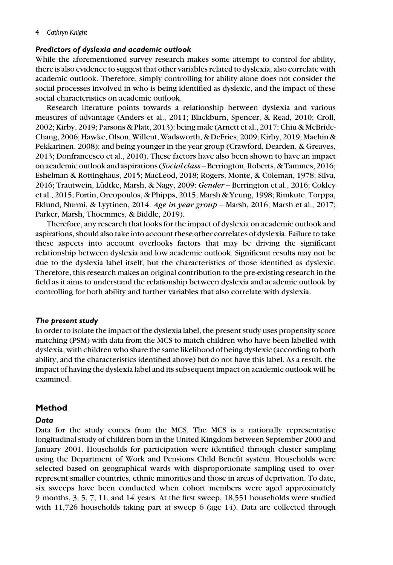# Predictors of dyslexia and academic outlook

While the aforementioned survey research makes some attempt to control for ability, there is also evidence to suggest that other variables related to dyslexia, also correlate with academic outlook. Therefore, simply controlling for ability alone does not consider the social processes involved in who is being identified as dyslexic, and the impact of these social characteristics on academic outlook.

Research literature points towards a relationship between dyslexia and various measures of advantage (Anders et al., 2011; Blackburn, Spencer, & Read, 2010; Croll, 2002; Kirby, 2019; Parsons & Platt, 2013); being male (Arnett et al., 2017; Chiu & McBride-Chang, 2006; Hawke, Olson, Willcut,Wadsworth, & DeFries, 2009; Kirby, 2019; Machin & Pekkarinen, 2008); and being younger in the year group (Crawford, Dearden, & Greaves, 2013; Donfrancesco et al., 2010). These factors have also been shown to have an impact on academic outlook and aspirations (Social class – Berrington, Roberts, & Tammes, 2016; Eshelman & Rottinghaus, 2015; MacLeod, 2018; Rogers, Monte, & Coleman, 1978; Silva, 2016; Trautwein, Lüdtke, Marsh, & Nagy, 2009: Gender – Berrington et al., 2016; Cokley et al., 2015; Fortin, Oreopoulos, & Phipps, 2015; Marsh & Yeung, 1998; Rimkute, Torppa, Eklund, Nurmi, & Lyytinen, 2014: Age in year group – Marsh, 2016; Marsh et al., 2017; Parker, Marsh, Thoemmes, & Biddle, 2019).

Therefore, any research that looks for the impact of dyslexia on academic outlook and aspirations, should also take into account these other correlates of dyslexia. Failure to take these aspects into account overlooks factors that may be driving the significant relationship between dyslexia and low academic outlook. Significant results may not be due to the dyslexia label itself, but the characteristics of those identified as dyslexic. Therefore, this research makes an original contribution to the pre-existing research in the field as it aims to understand the relationship between dyslexia and academic outlook by controlling for both ability and further variables that also correlate with dyslexia.

## The present study

In order to isolate the impact of the dyslexia label, the present study uses propensity score matching (PSM) with data from the MCS to match children who have been labelled with dyslexia, with children who share the same likelihood of being dyslexic (according to both ability, and the characteristics identified above) but do not have this label. As a result, the impact of having the dyslexia label and its subsequent impact on academic outlook will be examined.

## Method

## Data

Data for the study comes from the MCS. The MCS is a nationally representative longitudinal study of children born in the United Kingdom between September 2000 and January 2001. Households for participation were identified through cluster sampling using the Department of Work and Pensions Child Benefit system. Households were selected based on geographical wards with disproportionate sampling used to overrepresent smaller countries, ethnic minorities and those in areas of deprivation. To date, six sweeps have been conducted when cohort members were aged approximately 9 months, 3, 5, 7, 11, and 14 years. At the first sweep, 18,551 households were studied with 11,726 households taking part at sweep 6 (age 14). Data are collected through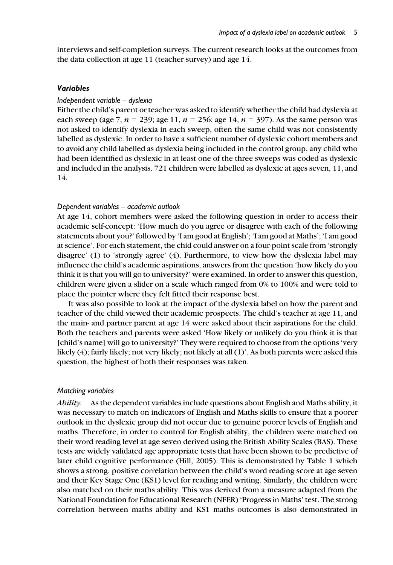interviews and self-completion surveys. The current research looks at the outcomes from the data collection at age 11 (teacher survey) and age 14.

#### Variables

#### Independent variable – dyslexia

Either the child's parent or teacher was asked to identify whether the child had dyslexia at each sweep (age 7,  $n = 239$ ; age 11,  $n = 256$ ; age 14,  $n = 397$ ). As the same person was not asked to identify dyslexia in each sweep, often the same child was not consistently labelled as dyslexic. In order to have a sufficient number of dyslexic cohort members and to avoid any child labelled as dyslexia being included in the control group, any child who had been identified as dyslexic in at least one of the three sweeps was coded as dyslexic and included in the analysis. 721 children were labelled as dyslexic at ages seven, 11, and 14.

#### Dependent variables – academic outlook

At age 14, cohort members were asked the following question in order to access their academic self-concept: 'How much do you agree or disagree with each of the following statements about you?' followed by 'I am good at English'; 'I am good at Maths'; 'I am good at science'. For each statement, the chid could answer on a four-point scale from 'strongly disagree' (1) to 'strongly agree' (4). Furthermore, to view how the dyslexia label may influence the child's academic aspirations, answers from the question 'how likely do you think it is that you will go to university?' were examined. In order to answer this question, children were given a slider on a scale which ranged from 0% to 100% and were told to place the pointer where they felt fitted their response best.

It was also possible to look at the impact of the dyslexia label on how the parent and teacher of the child viewed their academic prospects. The child's teacher at age 11, and the main- and partner parent at age 14 were asked about their aspirations for the child. Both the teachers and parents were asked 'How likely or unlikely do you think it is that [child's name] will go to university?' They were required to choose from the options 'very likely (4); fairly likely; not very likely; not likely at all (1)'. As both parents were asked this question, the highest of both their responses was taken.

#### Matching variables

Ability. As the dependent variables include questions about English and Maths ability, it was necessary to match on indicators of English and Maths skills to ensure that a poorer outlook in the dyslexic group did not occur due to genuine poorer levels of English and maths. Therefore, in order to control for English ability, the children were matched on their word reading level at age seven derived using the British Ability Scales (BAS). These tests are widely validated age appropriate tests that have been shown to be predictive of later child cognitive performance (Hill, 2005). This is demonstrated by Table 1 which shows a strong, positive correlation between the child's word reading score at age seven and their Key Stage One (KS1) level for reading and writing. Similarly, the children were also matched on their maths ability. This was derived from a measure adapted from the National Foundation for Educational Research (NFER) 'Progress in Maths' test. The strong correlation between maths ability and KS1 maths outcomes is also demonstrated in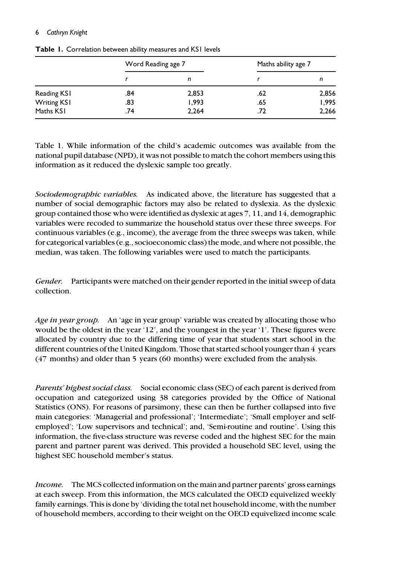|                    | Word Reading age 7 |       | Maths ability age 7 |       |  |
|--------------------|--------------------|-------|---------------------|-------|--|
|                    |                    | n     |                     | n     |  |
| Reading KS1        | .84                | 2,853 | .62                 | 2,856 |  |
| <b>Writing KS1</b> | .83                | 1,993 | .65                 | 1,995 |  |
| Maths KS1          | .74                | 2,264 | .72                 | 2,266 |  |

Table 1. Correlation between ability measures and KS1 levels

Table 1. While information of the child's academic outcomes was available from the national pupil database (NPD), it was not possible to match the cohort members using this information as it reduced the dyslexic sample too greatly.

Sociodemographic variables. As indicated above, the literature has suggested that a number of social demographic factors may also be related to dyslexia. As the dyslexic group contained those who were identified as dyslexic at ages 7, 11, and 14, demographic variables were recoded to summarize the household status over these three sweeps. For continuous variables (e.g., income), the average from the three sweeps was taken, while for categorical variables (e.g., socioeconomic class) the mode, and where not possible, the median, was taken. The following variables were used to match the participants.

Gender. Participants were matched on their gender reported in the initial sweep of data collection.

Age in year group. An 'age in year group' variable was created by allocating those who would be the oldest in the year '12', and the youngest in the year '1'. These figures were allocated by country due to the differing time of year that students start school in the different countries of the United Kingdom. Those that started school younger than 4 years (47 months) and older than 5 years (60 months) were excluded from the analysis.

Parents' highest social class. Social economic class (SEC) of each parent is derived from occupation and categorized using 38 categories provided by the Office of National Statistics (ONS). For reasons of parsimony, these can then be further collapsed into five main categories: 'Managerial and professional'; 'Intermediate'; 'Small employer and selfemployed'; 'Low supervisors and technical'; and, 'Semi-routine and routine'. Using this information, the five-class structure was reverse coded and the highest SEC for the main parent and partner parent was derived. This provided a household SEC level, using the highest SEC household member's status.

Income. The MCS collected information on the main and partner parents' gross earnings at each sweep. From this information, the MCS calculated the OECD equivelized weekly family earnings. This is done by 'dividing the total net household income, with the number of household members, according to their weight on the OECD equivelized income scale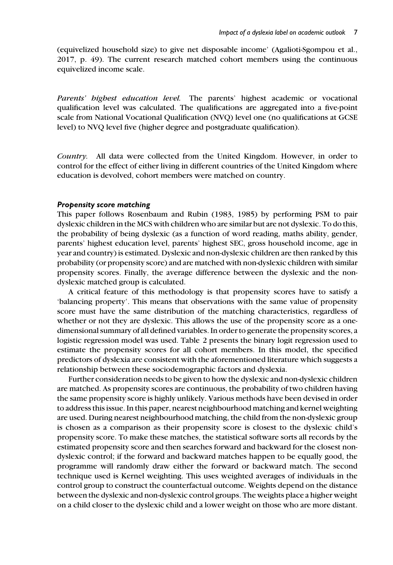(equivelized household size) to give net disposable income' (Agalioti-Sgompou et al., 2017, p. 49). The current research matched cohort members using the continuous equivelized income scale.

Parents' highest education level. The parents' highest academic or vocational qualification level was calculated. The qualifications are aggregated into a five-point scale from National Vocational Qualification (NVQ) level one (no qualifications at GCSE level) to NVQ level five (higher degree and postgraduate qualification).

Country. All data were collected from the United Kingdom. However, in order to control for the effect of either living in different countries of the United Kingdom where education is devolved, cohort members were matched on country.

#### Propensity score matching

This paper follows Rosenbaum and Rubin (1983, 1985) by performing PSM to pair dyslexic children in the MCS with children who are similar but are not dyslexic. To do this, the probability of being dyslexic (as a function of word reading, maths ability, gender, parents' highest education level, parents' highest SEC, gross household income, age in year and country) is estimated. Dyslexic and non-dyslexic children are then ranked by this probability (or propensity score) and are matched with non-dyslexic children with similar propensity scores. Finally, the average difference between the dyslexic and the nondyslexic matched group is calculated.

A critical feature of this methodology is that propensity scores have to satisfy a 'balancing property'. This means that observations with the same value of propensity score must have the same distribution of the matching characteristics, regardless of whether or not they are dyslexic. This allows the use of the propensity score as a onedimensional summary of all defined variables. In order to generate the propensity scores, a logistic regression model was used. Table 2 presents the binary logit regression used to estimate the propensity scores for all cohort members. In this model, the specified predictors of dyslexia are consistent with the aforementioned literature which suggests a relationship between these sociodemographic factors and dyslexia.

Further consideration needs to be given to how the dyslexic and non-dyslexic children are matched. As propensity scores are continuous, the probability of two children having the same propensity score is highly unlikely. Various methods have been devised in order to address this issue. In this paper, nearest neighbourhood matching and kernel weighting are used. During nearest neighbourhood matching, the child from the non-dyslexic group is chosen as a comparison as their propensity score is closest to the dyslexic child's propensity score. To make these matches, the statistical software sorts all records by the estimated propensity score and then searches forward and backward for the closest nondyslexic control; if the forward and backward matches happen to be equally good, the programme will randomly draw either the forward or backward match. The second technique used is Kernel weighting. This uses weighted averages of individuals in the control group to construct the counterfactual outcome. Weights depend on the distance between the dyslexic and non-dyslexic control groups. The weights place a higher weight on a child closer to the dyslexic child and a lower weight on those who are more distant.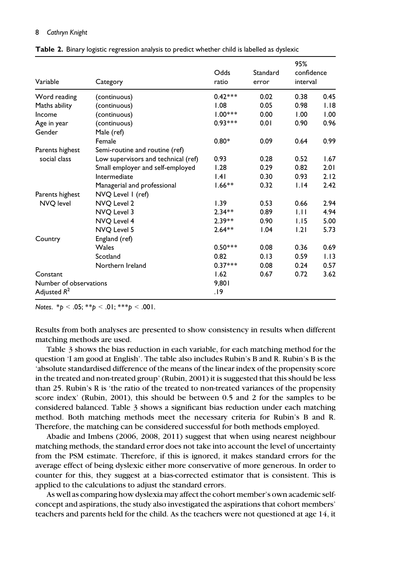| Variable               | Category                            | Odds<br>ratio | Standard<br>error | 95%<br>confidence<br>interval |      |
|------------------------|-------------------------------------|---------------|-------------------|-------------------------------|------|
| Word reading           | (continuous)                        | $0.42***$     | 0.02              | 0.38                          | 0.45 |
| Maths ability          | (continuous)                        | 1.08          | 0.05              | 0.98                          | 1.18 |
| Income                 | (continuous)                        | $1.00***$     | 0.00              | 1.00                          | 1.00 |
| Age in year            | (continuous)                        | $0.93***$     | 0.01              | 0.90                          | 0.96 |
| Gender                 | Male (ref)                          |               |                   |                               |      |
|                        | Female                              | $0.80*$       | 0.09              | 0.64                          | 0.99 |
| Parents highest        | Semi-routine and routine (ref)      |               |                   |                               |      |
| social class           | Low supervisors and technical (ref) | 0.93          | 0.28              | 0.52                          | 1.67 |
|                        | Small employer and self-employed    | 1.28          | 0.29              | 0.82                          | 2.01 |
|                        | Intermediate                        | .4            | 0.30              | 0.93                          | 2.12 |
|                        | Managerial and professional         | $1.66**$      | 0.32              | 1.14                          | 2.42 |
| Parents highest        | NVQ Level 1 (ref)                   |               |                   |                               |      |
| NVO level              | NVO Level 2                         | 1.39          | 0.53              | 0.66                          | 2.94 |
|                        | NVQ Level 3                         | $2.34**$      | 0.89              | 1.11                          | 4.94 |
|                        | NVO Level 4                         | $2.39**$      | 0.90              | 1.15                          | 5.00 |
|                        | NVO Level 5                         | $2.64**$      | 1.04              | 1.21                          | 5.73 |
| Country                | England (ref)                       |               |                   |                               |      |
|                        | Wales                               | $0.50***$     | 0.08              | 0.36                          | 0.69 |
|                        | Scotland                            | 0.82          | 0.13              | 0.59                          | 1.13 |
|                        | Northern Ireland                    | $0.37***$     | 0.08              | 0.24                          | 0.57 |
| Constant               | 1.62                                | 0.67          | 0.72              | 3.62                          |      |
| Number of observations | 9.801                               |               |                   |                               |      |
| Adjusted $R^2$         |                                     | 19.           |                   |                               |      |

Table 2. Binary logistic regression analysis to predict whether child is labelled as dyslexic

Notes.  $*_{p}$  < .05;  $*_{p}$  < .01;  $***_{p}$  < .001.

Results from both analyses are presented to show consistency in results when different matching methods are used.

Table 3 shows the bias reduction in each variable, for each matching method for the question 'I am good at English'. The table also includes Rubin's B and R. Rubin's B is the 'absolute standardised difference of the means of the linear index of the propensity score in the treated and non-treated group' (Rubin, 2001) it is suggested that this should be less than 25. Rubin's R is 'the ratio of the treated to non-treated variances of the propensity score index' (Rubin, 2001), this should be between 0.5 and 2 for the samples to be considered balanced. Table 3 shows a significant bias reduction under each matching method. Both matching methods meet the necessary criteria for Rubin's B and R. Therefore, the matching can be considered successful for both methods employed.

Abadie and Imbens (2006, 2008, 2011) suggest that when using nearest neighbour matching methods, the standard error does not take into account the level of uncertainty from the PSM estimate. Therefore, if this is ignored, it makes standard errors for the average effect of being dyslexic either more conservative of more generous. In order to counter for this, they suggest at a bias-corrected estimator that is consistent. This is applied to the calculations to adjust the standard errors.

As well as comparing how dyslexia may affect the cohort member's own academic selfconcept and aspirations, the study also investigated the aspirations that cohort members' teachers and parents held for the child. As the teachers were not questioned at age 14, it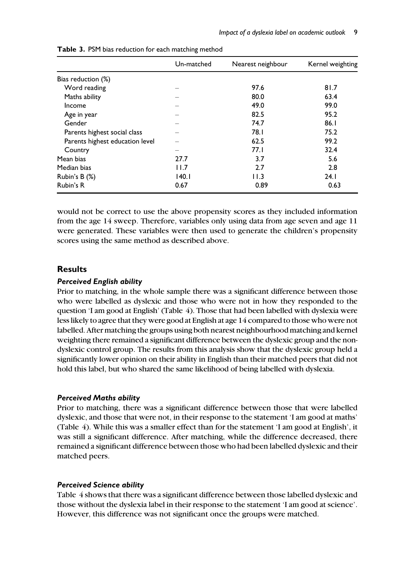|                                 | Un-matched | Nearest neighbour | Kernel weighting |
|---------------------------------|------------|-------------------|------------------|
| Bias reduction (%)              |            |                   |                  |
| Word reading                    |            | 97.6              | 81.7             |
| Maths ability                   |            | 80.0              | 63.4             |
| Income                          |            | 49.0              | 99.0             |
| Age in year                     |            | 82.5              | 95.2             |
| Gender                          |            | 74.7              | 86.1             |
| Parents highest social class    |            | 78.I              | 75.2             |
| Parents highest education level |            | 62.5              | 99.2             |
| Country                         |            | 77.1              | 32.4             |
| Mean bias                       | 27.7       | 3.7               | 5.6              |
| Median bias                     | 11.7       | 2.7               | 2.8              |
| Rubin's B (%)                   | 140.1      | 11.3              | 24.1             |
| Rubin's R                       | 0.67       | 0.89              | 0.63             |

Table 3. PSM bias reduction for each matching method

would not be correct to use the above propensity scores as they included information from the age 14 sweep. Therefore, variables only using data from age seven and age 11 were generated. These variables were then used to generate the children's propensity scores using the same method as described above.

# Results

#### Perceived English ability

Prior to matching, in the whole sample there was a significant difference between those who were labelled as dyslexic and those who were not in how they responded to the question 'I am good at English' (Table 4). Those that had been labelled with dyslexia were less likely to agree that they were good at English at age 14 compared to those who were not labelled. After matching the groups using both nearest neighbourhood matching and kernel weighting there remained a significant difference between the dyslexic group and the nondyslexic control group. The results from this analysis show that the dyslexic group held a significantly lower opinion on their ability in English than their matched peers that did not hold this label, but who shared the same likelihood of being labelled with dyslexia.

#### Perceived Maths ability

Prior to matching, there was a significant difference between those that were labelled dyslexic, and those that were not, in their response to the statement 'I am good at maths' (Table 4). While this was a smaller effect than for the statement 'I am good at English', it was still a significant difference. After matching, while the difference decreased, there remained a significant difference between those who had been labelled dyslexic and their matched peers.

#### Perceived Science ability

Table 4 shows that there was a significant difference between those labelled dyslexic and those without the dyslexia label in their response to the statement 'I am good at science'. However, this difference was not significant once the groups were matched.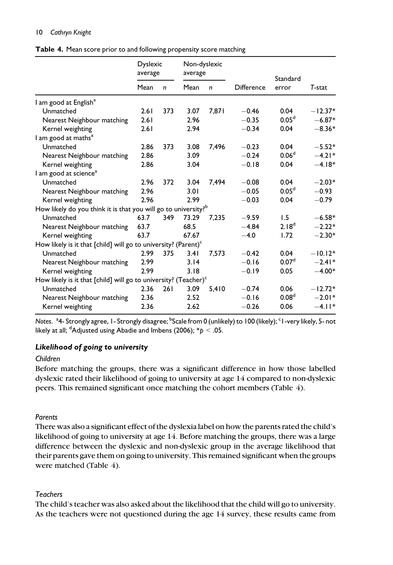|  |  |  | Table 4. Mean score prior to and following propensity score matching |  |  |  |  |  |
|--|--|--|----------------------------------------------------------------------|--|--|--|--|--|
|--|--|--|----------------------------------------------------------------------|--|--|--|--|--|

|                                                                             | <b>Dyslexic</b><br>average |              | Non-dyslexic<br>average |              |            | Standard          |           |
|-----------------------------------------------------------------------------|----------------------------|--------------|-------------------------|--------------|------------|-------------------|-----------|
|                                                                             | Mean                       | $\mathsf{n}$ | Mean                    | $\mathsf{n}$ | Difference | error             | T-stat    |
| I am good at English <sup>a</sup>                                           |                            |              |                         |              |            |                   |           |
| Unmatched                                                                   | 2.61                       | 373          | 3.07                    | 7,871        | $-0.46$    | 0.04              | $-12.37*$ |
| Nearest Neighbour matching                                                  | 2.61                       |              | 2.96                    |              | $-0.35$    | 0.05 <sup>d</sup> | $-6.87*$  |
| Kernel weighting                                                            | 2.61                       |              | 2.94                    |              | $-0.34$    | 0.04              | $-8.36*$  |
| I am good at maths <sup>a</sup>                                             |                            |              |                         |              |            |                   |           |
| Unmatched                                                                   | 2.86                       | 373          | 3.08                    | 7,496        | $-0.23$    | 0.04              | $-5.52*$  |
| Nearest Neighbour matching                                                  | 2.86                       |              | 3.09                    |              | $-0.24$    | 0.06 <sup>d</sup> | $-4.21*$  |
| Kernel weighting                                                            | 2.86                       |              | 3.04                    |              | $-0.18$    | 0.04              | $-4.18*$  |
| I am good at science <sup>a</sup>                                           |                            |              |                         |              |            |                   |           |
| Unmatched                                                                   | 2.96                       | 372          | 3.04                    | 7,494        | $-0.08$    | 0.04              | $-2.03*$  |
| Nearest Neighbour matching                                                  | 2.96                       |              | 3.01                    |              | $-0.05$    | 0.05 <sup>d</sup> | $-0.93$   |
| Kernel weighting                                                            | 2.96                       |              | 2.99                    |              | $-0.03$    | 0.04              | $-0.79$   |
| How likely do you think it is that you will go to university? <sup>b</sup>  |                            |              |                         |              |            |                   |           |
| Unmatched                                                                   | 63.7                       | 349          | 73.29                   | 7,235        | $-9.59$    | 1.5               | $-6.58*$  |
| Nearest Neighbour matching                                                  | 63.7                       |              | 68.5                    |              | $-4.84$    | 2.18 <sup>d</sup> | $-2.22*$  |
| Kernel weighting                                                            | 63.7                       |              | 67.67                   |              | $-4.0$     | 1.72              | $-2.30*$  |
| How likely is it that [child] will go to university? (Parent) $\text{c}$    |                            |              |                         |              |            |                   |           |
| Unmatched                                                                   | 2.99                       | 375          | 3.41                    | 7,573        | $-0.42$    | 0.04              | $-10.12*$ |
| Nearest Neighbour matching                                                  | 2.99                       |              | 3.14                    |              | $-0.16$    | 0.07 <sup>d</sup> | $-2.41*$  |
| Kernel weighting                                                            | 2.99                       |              | 3.18                    |              | $-0.19$    | 0.05              | $-4.00*$  |
| How likely is it that [child] will go to university? (Teacher) <sup>c</sup> |                            |              |                         |              |            |                   |           |
| Unmatched                                                                   | 2.36                       | 261          | 3.09                    | 5,410        | $-0.74$    | 0.06              | $-12.72*$ |
| Nearest Neighbour matching                                                  | 2.36                       |              | 2.52                    |              | $-0.16$    | 0.08 <sup>d</sup> | $-2.01*$  |
| Kernel weighting                                                            | 2.36                       |              | 2.62                    |              | $-0.26$    | 0.06              | $-4.11*$  |

Notes.  $^{\rm a}$ 4- Strongly agree, I-Strongly disagree; <sup>b</sup>Scale from 0 (unlikely) to 100 (likely); <sup>c</sup>I-very likely, 5- not likely at all;  $^{\sf d}$ Adjusted using Abadie and Imbens (2006);  $^*p < .05.$ 

# Likelihood of going to university

## Children

Before matching the groups, there was a significant difference in how those labelled dyslexic rated their likelihood of going to university at age 14 compared to non-dyslexic peers. This remained significant once matching the cohort members (Table 4).

# Parents

There was also a significant effect of the dyslexia label on how the parents rated the child's likelihood of going to university at age 14. Before matching the groups, there was a large difference between the dyslexic and non-dyslexic group in the average likelihood that their parents gave them on going to university. This remained significant when the groups were matched (Table 4).

# Teachers

The child's teacher was also asked about the likelihood that the child will go to university. As the teachers were not questioned during the age 14 survey, these results came from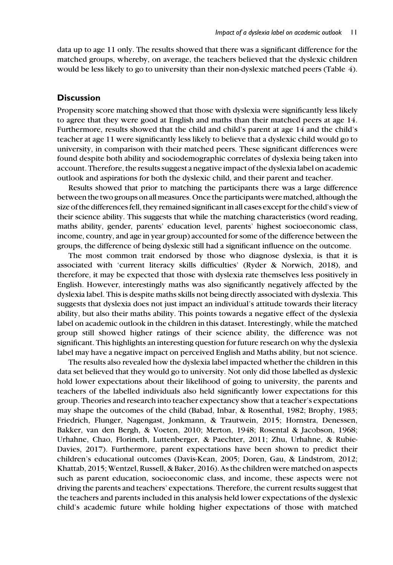data up to age 11 only. The results showed that there was a significant difference for the matched groups, whereby, on average, the teachers believed that the dyslexic children would be less likely to go to university than their non-dyslexic matched peers (Table 4).

# **Discussion**

Propensity score matching showed that those with dyslexia were significantly less likely to agree that they were good at English and maths than their matched peers at age 14. Furthermore, results showed that the child and child's parent at age 14 and the child's teacher at age 11 were significantly less likely to believe that a dyslexic child would go to university, in comparison with their matched peers. These significant differences were found despite both ability and sociodemographic correlates of dyslexia being taken into account. Therefore, the results suggest a negative impact of the dyslexia label on academic outlook and aspirations for both the dyslexic child, and their parent and teacher.

Results showed that prior to matching the participants there was a large difference between the two groups on all measures. Once the participants were matched, although the size of the differences fell, they remained significant in all cases except for the child's view of their science ability. This suggests that while the matching characteristics (word reading, maths ability, gender, parents' education level, parents' highest socioeconomic class, income, country, and age in year group) accounted for some of the difference between the groups, the difference of being dyslexic still had a significant influence on the outcome.

The most common trait endorsed by those who diagnose dyslexia, is that it is associated with 'current literacy skills difficulties' (Ryder & Norwich, 2018), and therefore, it may be expected that those with dyslexia rate themselves less positively in English. However, interestingly maths was also significantly negatively affected by the dyslexia label. This is despite maths skills not being directly associated with dyslexia. This suggests that dyslexia does not just impact an individual's attitude towards their literacy ability, but also their maths ability. This points towards a negative effect of the dyslexia label on academic outlook in the children in this dataset. Interestingly, while the matched group still showed higher ratings of their science ability, the difference was not significant. This highlights an interesting question for future research on why the dyslexia label may have a negative impact on perceived English and Maths ability, but not science.

The results also revealed how the dyslexia label impacted whether the children in this data set believed that they would go to university. Not only did those labelled as dyslexic hold lower expectations about their likelihood of going to university, the parents and teachers of the labelled individuals also held significantly lower expectations for this group. Theories and research into teacher expectancy show that a teacher's expectations may shape the outcomes of the child (Babad, Inbar, & Rosenthal, 1982; Brophy, 1983; Friedrich, Flunger, Nagengast, Jonkmann, & Trautwein, 2015; Hornstra, Denessen, Bakker, van den Bergh, & Voeten, 2010; Merton, 1948; Rosental & Jacobson, 1968; Urhahne, Chao, Florineth, Luttenberger, & Paechter, 2011; Zhu, Urhahne, & Rubie-Davies, 2017). Furthermore, parent expectations have been shown to predict their children's educational outcomes (Davis-Kean, 2005; Doren, Gau, & Lindstrom, 2012; Khattab, 2015; Wentzel, Russell, & Baker, 2016). As the children were matched on aspects such as parent education, socioeconomic class, and income, these aspects were not driving the parents and teachers' expectations. Therefore, the current results suggest that the teachers and parents included in this analysis held lower expectations of the dyslexic child's academic future while holding higher expectations of those with matched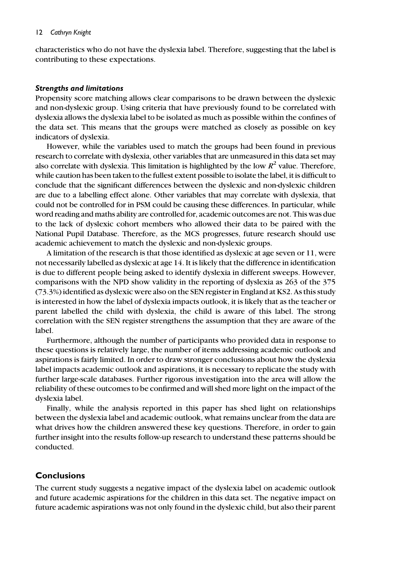characteristics who do not have the dyslexia label. Therefore, suggesting that the label is contributing to these expectations.

#### Strengths and limitations

Propensity score matching allows clear comparisons to be drawn between the dyslexic and non-dyslexic group. Using criteria that have previously found to be correlated with dyslexia allows the dyslexia label to be isolated as much as possible within the confines of the data set. This means that the groups were matched as closely as possible on key indicators of dyslexia.

However, while the variables used to match the groups had been found in previous research to correlate with dyslexia, other variables that are unmeasured in this data set may also correlate with dyslexia. This limitation is highlighted by the low  $R^2$  value. Therefore, while caution has been taken to the fullest extent possible to isolate the label, it is difficult to conclude that the significant differences between the dyslexic and non-dyslexic children are due to a labelling effect alone. Other variables that may correlate with dyslexia, that could not be controlled for in PSM could be causing these differences. In particular, while word reading and maths ability are controlled for, academic outcomes are not. This was due to the lack of dyslexic cohort members who allowed their data to be paired with the National Pupil Database. Therefore, as the MCS progresses, future research should use academic achievement to match the dyslexic and non-dyslexic groups.

A limitation of the research is that those identified as dyslexic at age seven or 11, were not necessarily labelled as dyslexic at age 14. It is likely that the difference in identification is due to different people being asked to identify dyslexia in different sweeps. However, comparisons with the NPD show validity in the reporting of dyslexia as 263 of the 375 (73.3%) identified as dyslexic were also on the SEN register in England at KS2. As this study is interested in how the label of dyslexia impacts outlook, it is likely that as the teacher or parent labelled the child with dyslexia, the child is aware of this label. The strong correlation with the SEN register strengthens the assumption that they are aware of the label.

Furthermore, although the number of participants who provided data in response to these questions is relatively large, the number of items addressing academic outlook and aspirations is fairly limited. In order to draw stronger conclusions about how the dyslexia label impacts academic outlook and aspirations, it is necessary to replicate the study with further large-scale databases. Further rigorous investigation into the area will allow the reliability of these outcomes to be confirmed and will shed more light on the impact of the dyslexia label.

Finally, while the analysis reported in this paper has shed light on relationships between the dyslexia label and academic outlook, what remains unclear from the data are what drives how the children answered these key questions. Therefore, in order to gain further insight into the results follow-up research to understand these patterns should be conducted.

# Conclusions

The current study suggests a negative impact of the dyslexia label on academic outlook and future academic aspirations for the children in this data set. The negative impact on future academic aspirations was not only found in the dyslexic child, but also their parent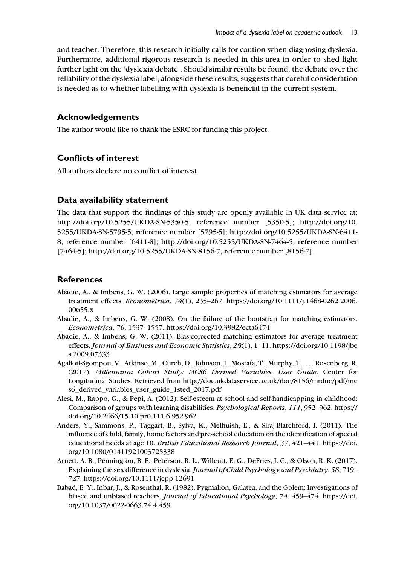and teacher. Therefore, this research initially calls for caution when diagnosing dyslexia. Furthermore, additional rigorous research is needed in this area in order to shed light further light on the 'dyslexia debate'. Should similar results be found, the debate over the reliability of the dyslexia label, alongside these results, suggests that careful consideration is needed as to whether labelling with dyslexia is beneficial in the current system.

# Acknowledgements

The author would like to thank the ESRC for funding this project.

# Conflicts of interest

All authors declare no conflict of interest.

# Data availability statement

The data that support the findings of this study are openly available in UK data service at: <http://doi.org/10.5255/UKDA-SN-5350-5>, reference number [5350-5]; [http://doi.org/10.](http://doi.org/10.5255/UKDA-SN-5795-5) [5255/UKDA-SN-5795-5](http://doi.org/10.5255/UKDA-SN-5795-5), reference number [5795-5]; [http://doi.org/10.5255/UKDA-SN-6411-](http://doi.org/10.5255/UKDA-SN-6411-8) [8,](http://doi.org/10.5255/UKDA-SN-6411-8) reference number [6411-8];<http://doi.org/10.5255/UKDA-SN-7464-5>, reference number [7464-5]; [http://doi.org/10.5255/UKDA-SN-8156-7,](http://doi.org/10.5255/UKDA-SN-8156-7) reference number [8156-7].

# References

- Abadie, A., & Imbens, G. W. (2006). Large sample properties of matching estimators for average treatment effects. Econometrica, 74(1), 235–267. [https://doi.org/10.1111/j.1468-0262.2006.](https://doi.org/10.1111/j.1468-0262.2006.00655.x) [00655.x](https://doi.org/10.1111/j.1468-0262.2006.00655.x)
- Abadie, A., & Imbens, G. W. (2008). On the failure of the bootstrap for matching estimators. Econometrica, 76, 1537–1557.<https://doi.org/10.3982/ecta6474>
- Abadie, A., & Imbens, G. W. (2011). Bias-corrected matching estimators for average treatment effects. Journal of Business and Economic Statistics, 29(1), 1–11. [https://doi.org/10.1198/jbe](https://doi.org/10.1198/jbes.2009.07333) [s.2009.07333](https://doi.org/10.1198/jbes.2009.07333)
- Agalioti-Sgompou, V., Atkinso, M., Curch, D., Johnson, J., Mostafa, T., Murphy, T., ... Rosenberg, R. (2017). Millennium Cohort Study: MCS6 Derived Variables. User Guide. Center for Longitudinal Studies. Retrieved from [http://doc.ukdataservice.ac.uk/doc/8156/mrdoc/pdf/mc](http://doc.ukdataservice.ac.uk/doc/8156/mrdoc/pdf/mcs6_derived_variables_user_guide_1sted_2017.pdf) [s6\\_derived\\_variables\\_user\\_guide\\_1sted\\_2017.pdf](http://doc.ukdataservice.ac.uk/doc/8156/mrdoc/pdf/mcs6_derived_variables_user_guide_1sted_2017.pdf)
- Alesi, M., Rappo, G., & Pepi, A. (2012). Self-esteem at school and self-handicapping in childhood: Comparison of groups with learning disabilities. Psychological Reports, 111, 952–962. [https://](https://doi.org/10.2466/15.10.pr0.111.6.952-962) [doi.org/10.2466/15.10.pr0.111.6.952-962](https://doi.org/10.2466/15.10.pr0.111.6.952-962)
- Anders, Y., Sammons, P., Taggart, B., Sylva, K., Melhuish, E., & Siraj-Blatchford, I. (2011). The influence of child, family, home factors and pre-school education on the identification of special educational needs at age 10. British Educational Research Journal, 37, 421–441. [https://doi.](https://doi.org/10.1080/01411921003725338) [org/10.1080/01411921003725338](https://doi.org/10.1080/01411921003725338)
- Arnett, A. B., Pennington, B. F., Peterson, R. L., Willcutt, E. G., DeFries, J. C., & Olson, R. K. (2017). Explaining the sex difference in dyslexia.Journal of Child Psychology and Psychiatry, 58, 719– 727.<https://doi.org/10.1111/jcpp.12691>
- Babad, E. Y., Inbar, J., & Rosenthal, R. (1982). Pygmalion, Galatea, and the Golem: Investigations of biased and unbiased teachers. Journal of Educational Psychology, 74, 459–474. [https://doi.](https://doi.org/10.1037/0022-0663.74.4.459) [org/10.1037/0022-0663.74.4.459](https://doi.org/10.1037/0022-0663.74.4.459)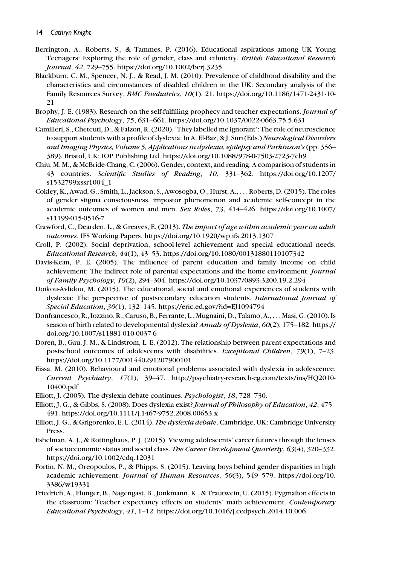- Berrington, A., Roberts, S., & Tammes, P. (2016). Educational aspirations among UK Young Teenagers: Exploring the role of gender, class and ethnicity. British Educational Research Journal, 42, 729–755.<https://doi.org/10.1002/berj.3235>
- Blackburn, C. M., Spencer, N. J., & Read, J. M. (2010). Prevalence of childhood disability and the characteristics and circumstances of disabled children in the UK: Secondary analysis of the Family Resources Survey. BMC Paediatrics, 10(1), 21. [https://doi.org/10.1186/1471-2431-10-](https://doi.org/10.1186/1471-2431-10-21) [21](https://doi.org/10.1186/1471-2431-10-21)
- Brophy, J. E. (1983). Research on the self-fulfilling prophecy and teacher expectations. *Journal of* Educational Psychology, 75, 631–661.<https://doi.org/10.1037/0022-0663.75.5.631>
- Camilleri, S., Chetcuti, D., & Falzon, R. (2020). 'They labelled me ignorant': The role of neuroscience to support students with a profile of dyslexia. In A. El-Baz, & J. Suri (Eds.) Neurological Disorders and Imaging Physics, Volume 5, Applications in dyslexia, epilepsy and Parkinson's (pp. 356– 389). Bristol, UK: IOP Publishing Ltd.<https://doi.org/10.1088/978-0-7503-2723-7ch9>
- Chiu, M. M., & McBride-Chang, C. (2006). Gender, context, and reading: A comparison of students in 43 countries. Scientific Studies of Reading, 10, 331–362. [https://doi.org/10.1207/](https://doi.org/10.1207/s1532799xssr1004_1) [s1532799xssr1004\\_1](https://doi.org/10.1207/s1532799xssr1004_1)
- Cokley, K., Awad, G., Smith, L., Jackson, S., Awosogba, O., Hurst, A., ... Roberts, D. (2015). The roles of gender stigma consciousness, impostor phenomenon and academic self-concept in the academic outcomes of women and men. Sex Roles, 73, 414–426. [https://doi.org/10.1007/](https://doi.org/10.1007/s11199-015-0516-7) [s11199-015-0516-7](https://doi.org/10.1007/s11199-015-0516-7)
- Crawford, C., Dearden, L., & Greaves, E. (2013). The impact of age within academic year on adult outcomes. IFS Working Papers.<https://doi.org/10.1920/wp.ifs.2013.1307>
- Croll, P. (2002). Social deprivation, school-level achievement and special educational needs. Educational Research, 44(1), 43–53.<https://doi.org/10.1080/00131880110107342>
- Davis-Kean, P. E. (2005). The influence of parent education and family income on child achievement: The indirect role of parental expectations and the home environment. Journal of Family Psychology, 19(2), 294–304.<https://doi.org/10.1037/0893-3200.19.2.294>
- Doikou-Avlidou, M. (2015). The educational, social and emotional experiences of students with dyslexia: The perspective of postsecondary education students. International Journal of Special Education, 30(1), 132–145.<https://eric.ed.gov/?id=EJ1094794>
- Donfrancesco, R., Iozzino, R., Caruso, B., Ferrante, L., Mugnaini, D., Talamo, A., ... Masi, G. (2010). Is season of birth related to developmental dyslexia? Annals of Dyslexia, 60(2), 175-182. [https://](https://doi.org/10.1007/s11881-010-0037-6) [doi.org/10.1007/s11881-010-0037-6](https://doi.org/10.1007/s11881-010-0037-6)
- Doren, B., Gau, J. M., & Lindstrom, L. E. (2012). The relationship between parent expectations and postschool outcomes of adolescents with disabilities. *Exceptional Children*, 79(1), 7-23. <https://doi.org/10.1177/001440291207900101>
- Eissa, M. (2010). Behavioural and emotional problems associated with dyslexia in adolescence. Current Psychiatry, 17(1), 39–47. [http://psychiatry-research-eg.com/texts/ins/HQ2010-](http://psychiatry-research-eg.com/texts/ins/HQ2010-10400.pdf) [10400.pdf](http://psychiatry-research-eg.com/texts/ins/HQ2010-10400.pdf)
- Elliott, J. (2005). The dyslexia debate continues. Psychologist, 18, 728–730.
- Elliott, J. G., & Gibbs, S. (2008). Does dyslexia exist? Journal of Philosophy of Education, 42, 475– 491.<https://doi.org/10.1111/j.1467-9752.2008.00653.x>
- Elliott, J. G., & Grigorenko, E. L. (2014). The dyslexia debate. Cambridge, UK: Cambridge University Press.
- Eshelman, A. J., & Rottinghaus, P. J. (2015). Viewing adolescents' career futures through the lenses of socioeconomic status and social class. The Career Development Quarterly, 63(4), 320–332. <https://doi.org/10.1002/cdq.12031>
- Fortin, N. M., Oreopoulos, P., & Phipps, S. (2015). Leaving boys behind gender disparities in high academic achievement. Journal of Human Resources, 50(3), 549–579. [https://doi.org/10.](https://doi.org/10.3386/w19331) [3386/w19331](https://doi.org/10.3386/w19331)
- Friedrich, A., Flunger, B., Nagengast, B., Jonkmann, K., & Trautwein, U. (2015). Pygmalion effects in the classroom: Teacher expectancy effects on students' math achievement. Contemporary Educational Psychology, 41, 1–12.<https://doi.org/10.1016/j.cedpsych.2014.10.006>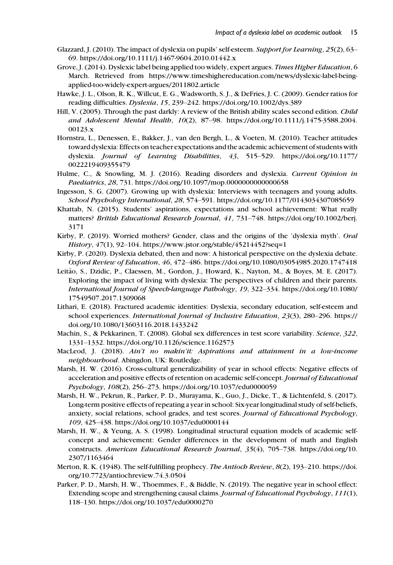- Glazzard, J. (2010). The impact of dyslexia on pupils' self-esteem. Support for Learning, 25(2), 63– 69.<https://doi.org/10.1111/j.1467-9604.2010.01442.x>
- Grove, J. (2014). Dyslexic label being applied too widely, expert argues. Times Higher Education, 6 March. Retrieved from [https://www.timeshighereducation.com/news/dyslexic-label-being](https://www.timeshighereducation.com/news/dyslexic-label-being-applied-too-widely-expert-argues/2011802.article)[applied-too-widely-expert-argues/2011802.article](https://www.timeshighereducation.com/news/dyslexic-label-being-applied-too-widely-expert-argues/2011802.article)
- Hawke, J. L., Olson, R. K., Willcut, E. G., Wadsworth, S. J., & DeFries, J. C. (2009). Gender ratios for reading difficulties. Dyslexia, 15, 239–242.<https://doi.org/10.1002/dys.389>
- Hill, V. (2005). Through the past darkly: A review of the British ability scales second edition. Child and Adolescent Mental Health, 10(2), 87–98. [https://doi.org/10.1111/j.1475-3588.2004.](https://doi.org/10.1111/j.1475-3588.2004.00123.x) [00123.x](https://doi.org/10.1111/j.1475-3588.2004.00123.x)
- Hornstra, L., Denessen, E., Bakker, J., van den Bergh, L., & Voeten, M. (2010). Teacher attitudes toward dyslexia: Effects on teacher expectations and the academic achievement of students with dyslexia. Journal of Learning Disabilities, 43, 515–529. [https://doi.org/10.1177/](https://doi.org/10.1177/0022219409355479) [0022219409355479](https://doi.org/10.1177/0022219409355479)
- Hulme, C., & Snowling, M. J. (2016). Reading disorders and dyslexia. Current Opinion in Paediatrics, 28, 731.<https://doi.org/10.1097/mop.0000000000000658>
- Ingesson, S. G. (2007). Growing up with dyslexia: Interviews with teenagers and young adults. School Psychology International, 28, 574–591.<https://doi.org/10.1177/0143034307085659>
- Khattab, N. (2015). Students' aspirations, expectations and school achievement: What really matters? British Educational Research Journal, 41, 731–748. [https://doi.org/10.1002/berj.](https://doi.org/10.1002/berj.3171) [3171](https://doi.org/10.1002/berj.3171)
- Kirby, P. (2019). Worried mothers? Gender, class and the origins of the 'dyslexia myth'. Oral History, 47(1), 92–104.<https://www.jstor.org/stable/45214452?seq=1>
- Kirby, P. (2020). Dyslexia debated, then and now: A historical perspective on the dyslexia debate. Oxford Review of Education, 46, 472–486.<https://doi.org/10.1080/03054985.2020.1747418>
- Leitão, S., Dzidic, P., Claessen, M., Gordon, J., Howard, K., Nayton, M., & Boyes, M. E. (2017). Exploring the impact of living with dyslexia: The perspectives of children and their parents. International Journal of Speech-language Pathology, 19, 322–334. [https://doi.org/10.1080/](https://doi.org/10.1080/17549507.2017.1309068) [17549507.2017.1309068](https://doi.org/10.1080/17549507.2017.1309068)
- Lithari, E. (2018). Fractured academic identities: Dyslexia, secondary education, self-esteem and school experiences. International Journal of Inclusive Education, 23(3), 280–296. [https://](https://doi.org/10.1080/13603116.2018.1433242) [doi.org/10.1080/13603116.2018.1433242](https://doi.org/10.1080/13603116.2018.1433242)
- Machin, S., & Pekkarinen, T. (2008). Global sex differences in test score variability. Science, 322, 1331–1332.<https://doi.org/10.1126/science.1162573>
- MacLeod, J. (2018). Ain't no makin'it: Aspirations and attainment in a low-income neighbourhood. Abingdon, UK: Routledge.
- Marsh, H. W. (2016). Cross-cultural generalizability of year in school effects: Negative effects of acceleration and positive effects of retention on academic self-concept. Journal of Educational Psychology, 108(2), 256–273.<https://doi.org/10.1037/edu0000059>
- Marsh, H. W., Pekrun, R., Parker, P. D., Murayama, K., Guo, J., Dicke, T., & Lichtenfeld, S. (2017). Long-term positive effects of repeating a year in school: Six-year longitudinal study of self-beliefs, anxiety, social relations, school grades, and test scores. Journal of Educational Psychology, 109, 425–438.<https://doi.org/10.1037/edu0000144>
- Marsh, H. W., & Yeung, A. S. (1998). Longitudinal structural equation models of academic selfconcept and achievement: Gender differences in the development of math and English constructs. American Educational Research Journal, 35(4), 705–738. [https://doi.org/10.](https://doi.org/10.2307/1163464) [2307/1163464](https://doi.org/10.2307/1163464)
- Merton, R. K. (1948). The self-fulfilling prophecy. The Antioch Review, 8(2), 193-210. [https://doi.](https://doi.org/10.7723/antiochreview.74.3.0504) [org/10.7723/antiochreview.74.3.0504](https://doi.org/10.7723/antiochreview.74.3.0504)
- Parker, P. D., Marsh, H. W., Thoemmes, F., & Biddle, N. (2019). The negative year in school effect: Extending scope and strengthening causal claims. Journal of Educational Psychology, 111(1), 118–130.<https://doi.org/10.1037/edu0000270>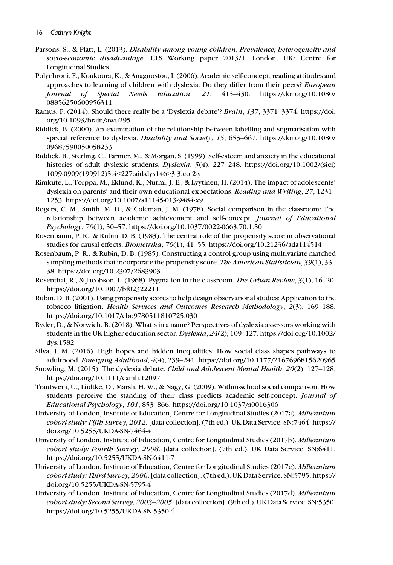- Parsons, S., & Platt, L. (2013). Disability among young children: Prevalence, heterogeneity and socio-economic disadvantage. CLS Working paper 2013/1. London, UK: Centre for Longitudinal Studies.
- Polychroni, F., Koukoura, K., & Anagnostou, I. (2006). Academic self-concept, reading attitudes and approaches to learning of children with dyslexia: Do they differ from their peers? European Journal of Special Needs Education, 21, 415–430. [https://doi.org/10.1080/](https://doi.org/10.1080/08856250600956311) [08856250600956311](https://doi.org/10.1080/08856250600956311)
- Ramus, F. (2014). Should there really be a 'Dyslexia debate'? Brain, 137, 3371–3374. [https://doi.](https://doi.org/10.1093/brain/awu295) [org/10.1093/brain/awu295](https://doi.org/10.1093/brain/awu295)
- Riddick, B. (2000). An examination of the relationship between labelling and stigmatisation with special reference to dyslexia. Disability and Society, 15, 653–667. [https://doi.org/10.1080/](https://doi.org/10.1080/09687590050058233) [09687590050058233](https://doi.org/10.1080/09687590050058233)
- Riddick, B., Sterling, C., Farmer, M., & Morgan, S. (1999). Self-esteem and anxiety in the educational histories of adult dyslexic students. Dyslexia, 5(4), 227-248. [https://doi.org/10.1002/\(sici\)](https://doi.org/10.1002/(sici)1099-0909(199912)5:4<227:aid-dys146>3.3.co;2-y) [1099-0909\(199912\)5:4](https://doi.org/10.1002/(sici)1099-0909(199912)5:4<227:aid-dys146>3.3.co;2-y)<227:aid-dys146>3.3.co;2-y
- Rimkute, L., Torppa, M., Eklund, K., Nurmi, J. E., & Lyytinen, H. (2014). The impact of adolescents' dyslexia on parents' and their own educational expectations. Reading and Writing, 27, 1231– 1253.<https://doi.org/10.1007/s11145-013-9484-x9>
- Rogers, C. M., Smith, M. D., & Coleman, J. M. (1978). Social comparison in the classroom: The relationship between academic achievement and self-concept. Journal of Educational Psychology, 70(1), 50–57.<https://doi.org/10.1037/0022-0663.70.1.50>
- Rosenbaum, P. R., & Rubin, D. B. (1983). The central role of the propensity score in observational studies for causal effects. Biometrika, 70(1), 41–55.<https://doi.org/10.21236/ada114514>
- Rosenbaum, P. R., & Rubin, D. B. (1985). Constructing a control group using multivariate matched sampling methods that incorporate the propensity score. The American Statistician, 39(1), 33– 38.<https://doi.org/10.2307/2683903>
- Rosenthal, R., & Jacobson, L. (1968). Pygmalion in the classroom. The Urban Review, 3(1), 16–20. <https://doi.org/10.1007/bf02322211>
- Rubin, D. B. (2001). Using propensity scores to help design observational studies: Application to the tobacco litigation. Health Services and Outcomes Research Methodology, 2(3), 169–188. <https://doi.org/10.1017/cbo9780511810725.030>
- Ryder, D., & Norwich, B. (2018). What's in a name? Perspectives of dyslexia assessors working with students in the UK higher education sector. Dyslexia, 24(2), 109–127. [https://doi.org/10.1002/](https://doi.org/10.1002/dys.1582) [dys.1582](https://doi.org/10.1002/dys.1582)
- Silva, J. M. (2016). High hopes and hidden inequalities: How social class shapes pathways to adulthood. Emerging Adulthood, 4(4), 239–241.<https://doi.org/10.1177/2167696815620965>
- Snowling, M. (2015). The dyslexia debate. Child and Adolescent Mental Health, 20(2), 127-128. <https://doi.org/10.1111/camh.12097>
- Trautwein, U., Lüdtke, O., Marsh, H. W., & Nagy, G. (2009). Within-school social comparison: How students perceive the standing of their class predicts academic self-concept. Journal of Educational Psychology, 101, 853–866.<https://doi.org/10.1037/a0016306>
- University of London, Institute of Education, Centre for Longitudinal Studies (2017a). Millennium cohort study: Fifth Survey, 2012. [data collection]. (7th ed.). UK Data Service. SN:7464. [https://](https://doi.org/10.5255/UKDA-SN-7464-4) [doi.org/10.5255/UKDA-SN-7464-4](https://doi.org/10.5255/UKDA-SN-7464-4)
- University of London, Institute of Education, Centre for Longitudinal Studies (2017b). Millennium cohort study: Fourth Survey, 2008. [data collection]. (7th ed.). UK Data Service. SN:6411. <https://doi.org/10.5255/UKDA-SN-6411-7>
- University of London, Institute of Education, Centre for Longitudinal Studies (2017c). Millennium cohort study: Third Survey, 2006. [data collection]. (7th ed.). UK Data Service. SN:5795. [https://](https://doi.org/10.5255/UKDA-SN-5795-4) [doi.org/10.5255/UKDA-SN-5795-4](https://doi.org/10.5255/UKDA-SN-5795-4)
- University of London, Institute of Education, Centre for Longitudinal Studies (2017d). Millennium cohort study: Second Survey, 2003–2005. [data collection]. (9th ed.). UK Data Service. SN:5350. <https://doi.org/10.5255/UKDA-SN-5350-4>